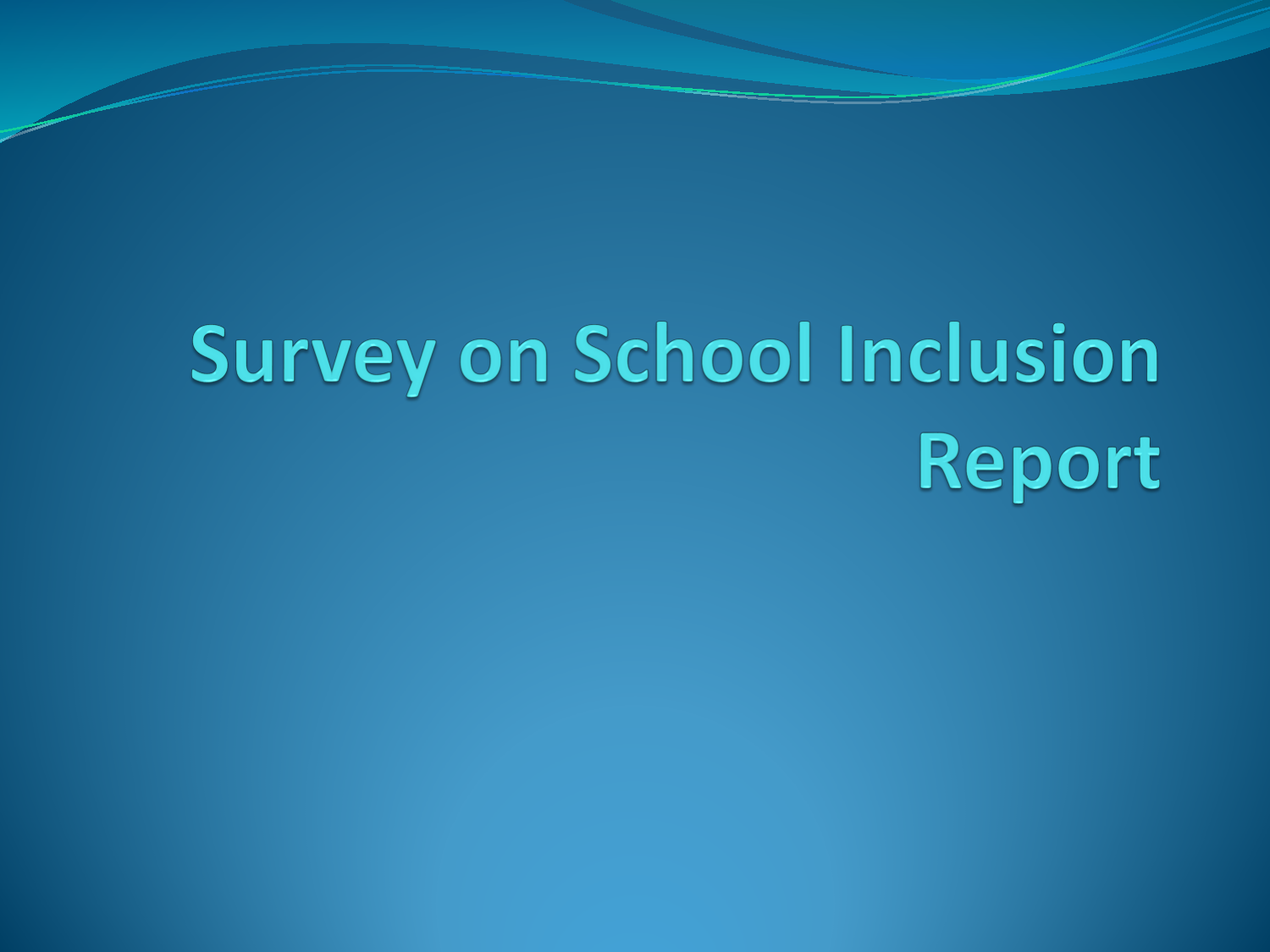# **Survey on School Inclusion** Report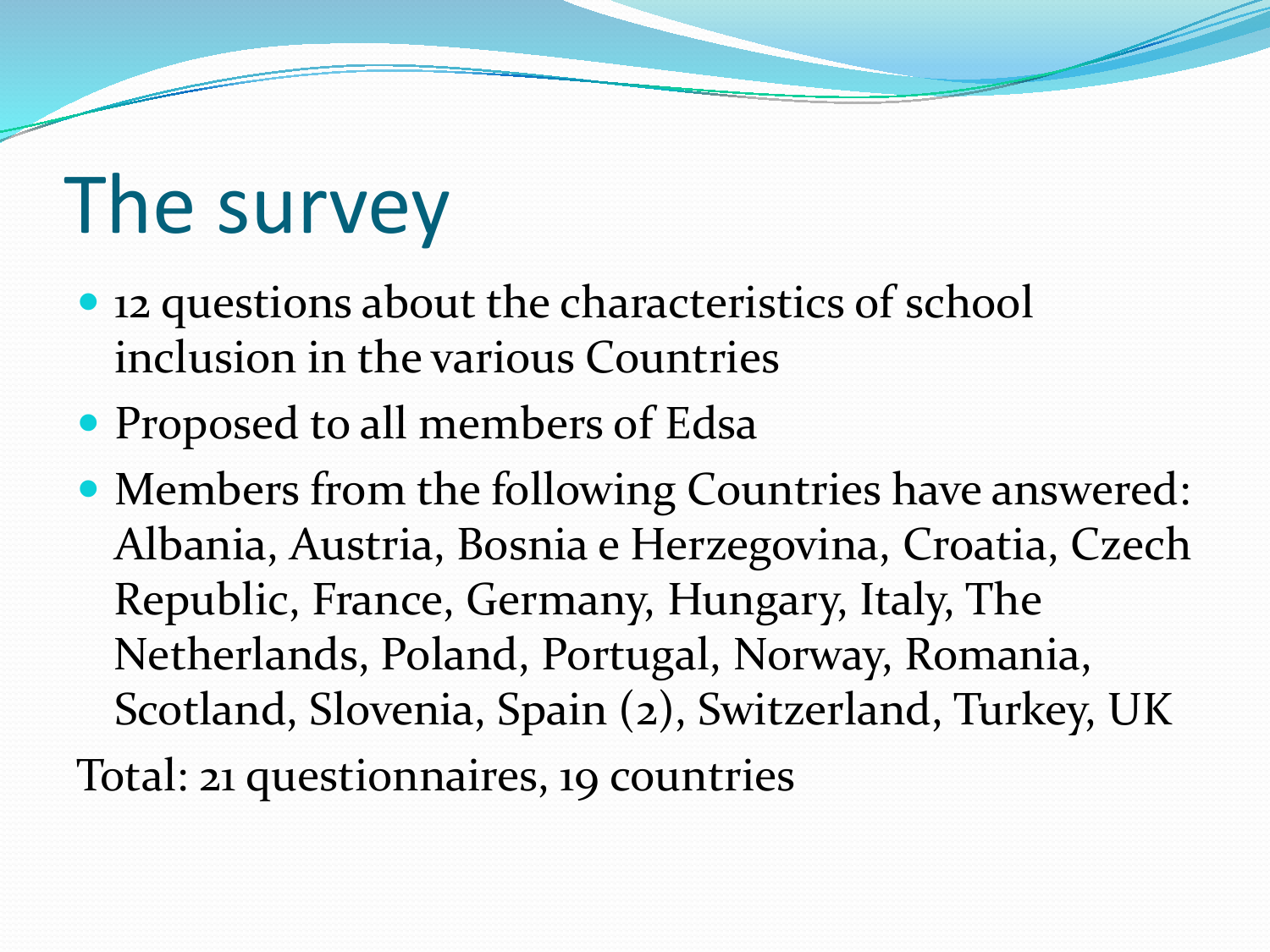## The survey

- 12 questions about the characteristics of school inclusion in the various Countries
- Proposed to all members of Edsa
- Members from the following Countries have answered: Albania, Austria, Bosnia e Herzegovina, Croatia, Czech Republic, France, Germany, Hungary, Italy, The Netherlands, Poland, Portugal, Norway, Romania, Scotland, Slovenia, Spain (2), Switzerland, Turkey, UK Total: 21 questionnaires, 19 countries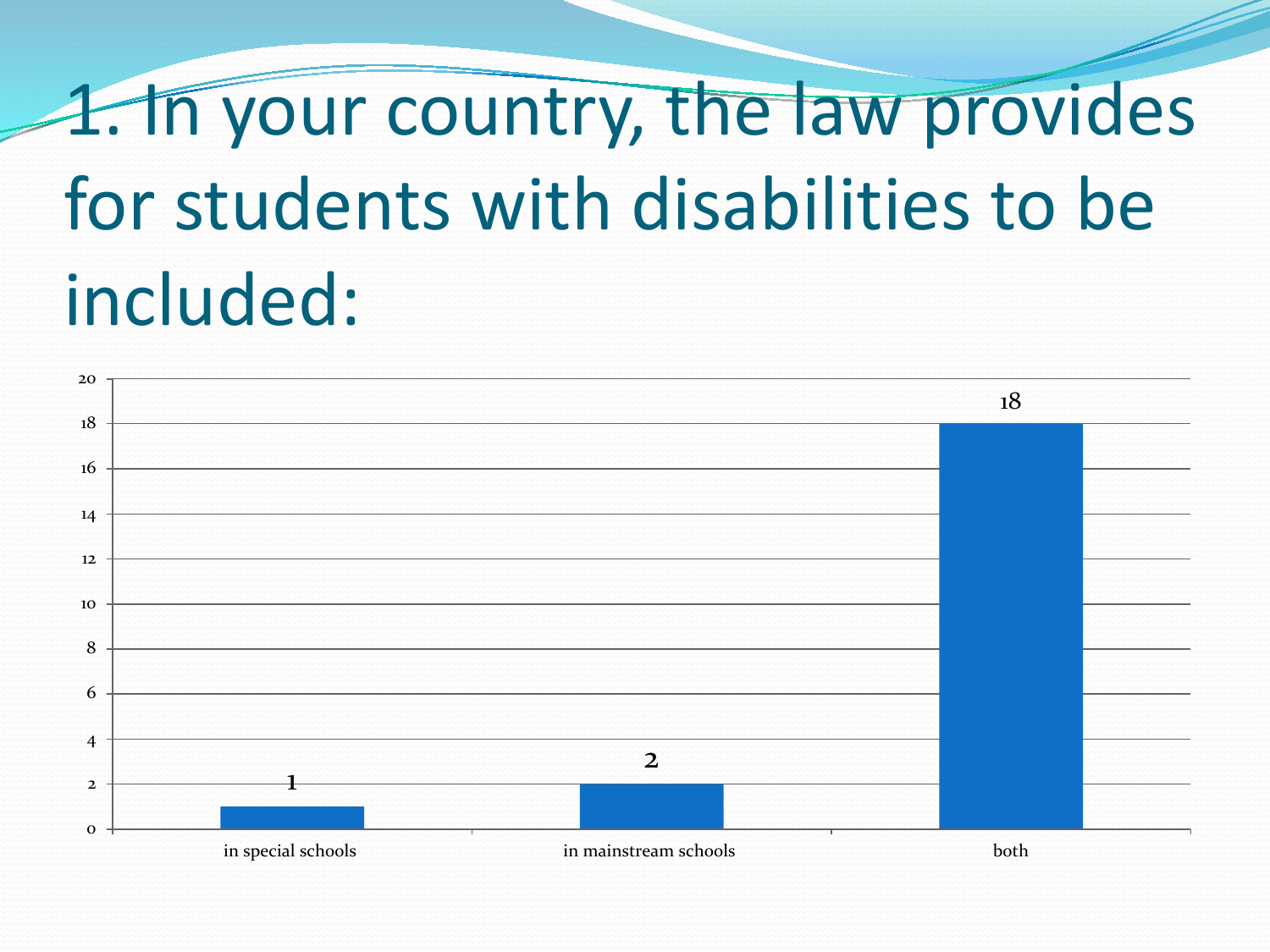# 1. In your country, the law provides for students with disabilities to be included:

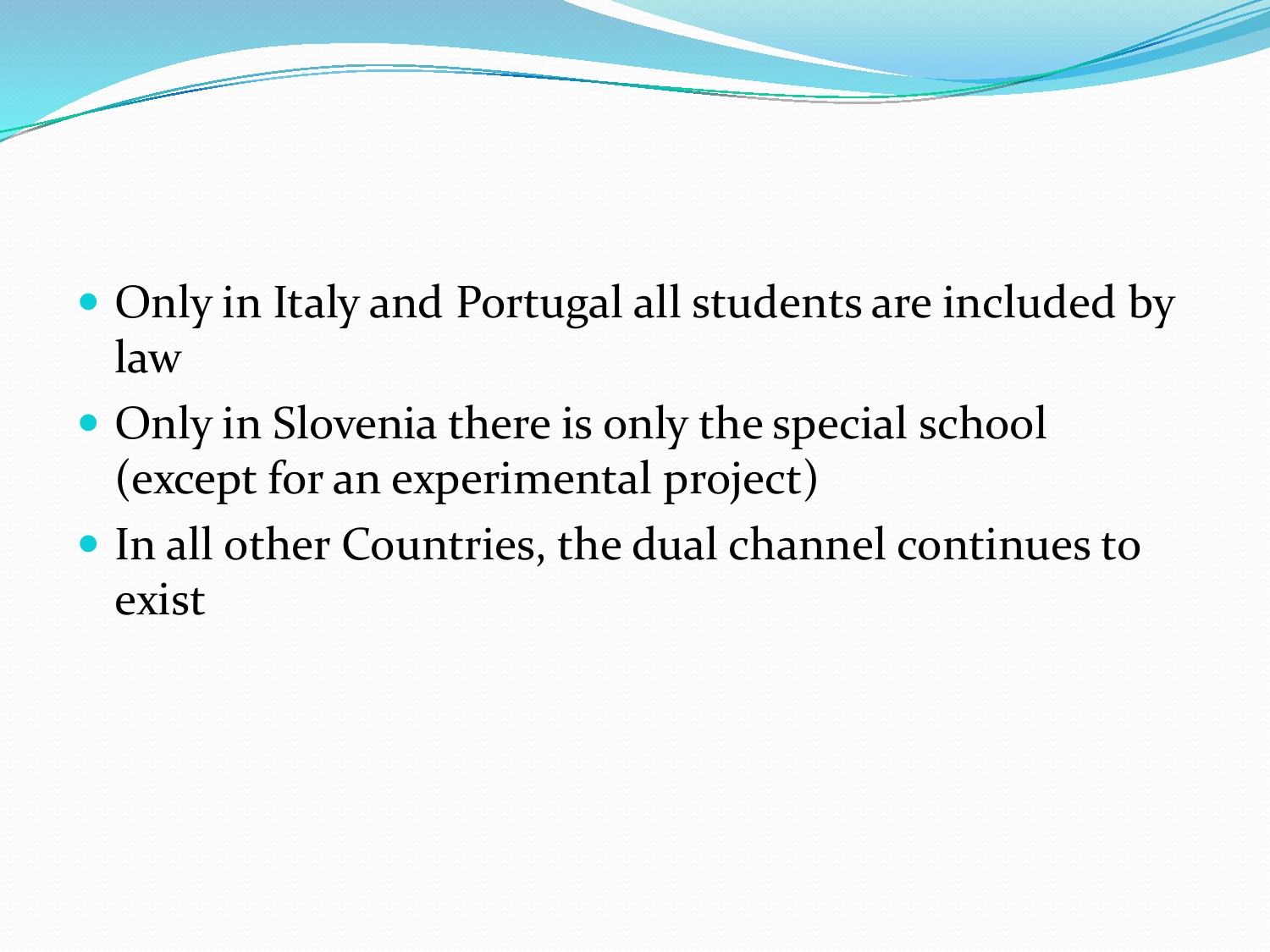- Only in Italy and Portugal all students are included by law
- Only in Slovenia there is only the special school (except for an experimental project)
- In all other Countries, the dual channel continues to exist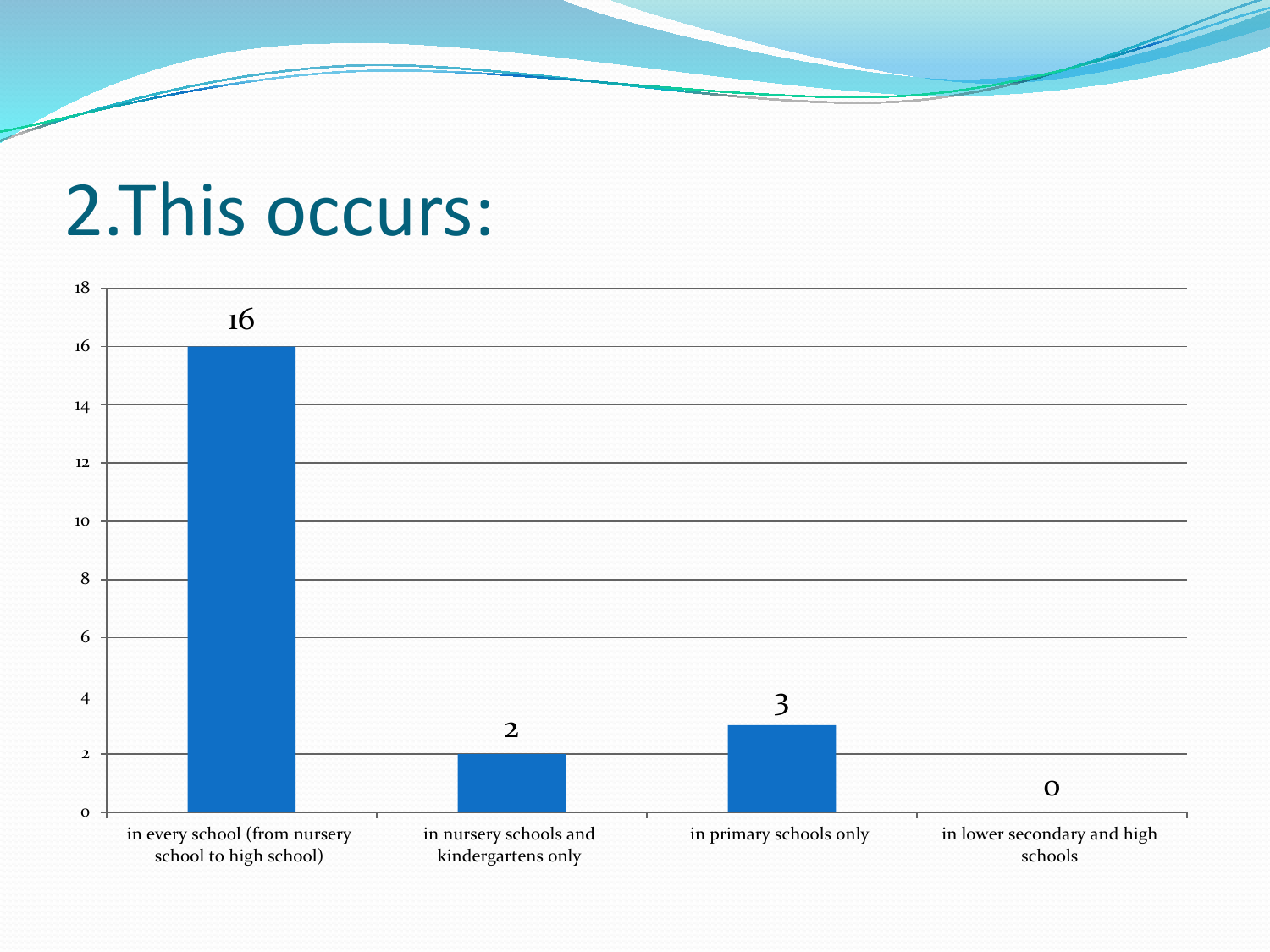#### 2.This occurs:

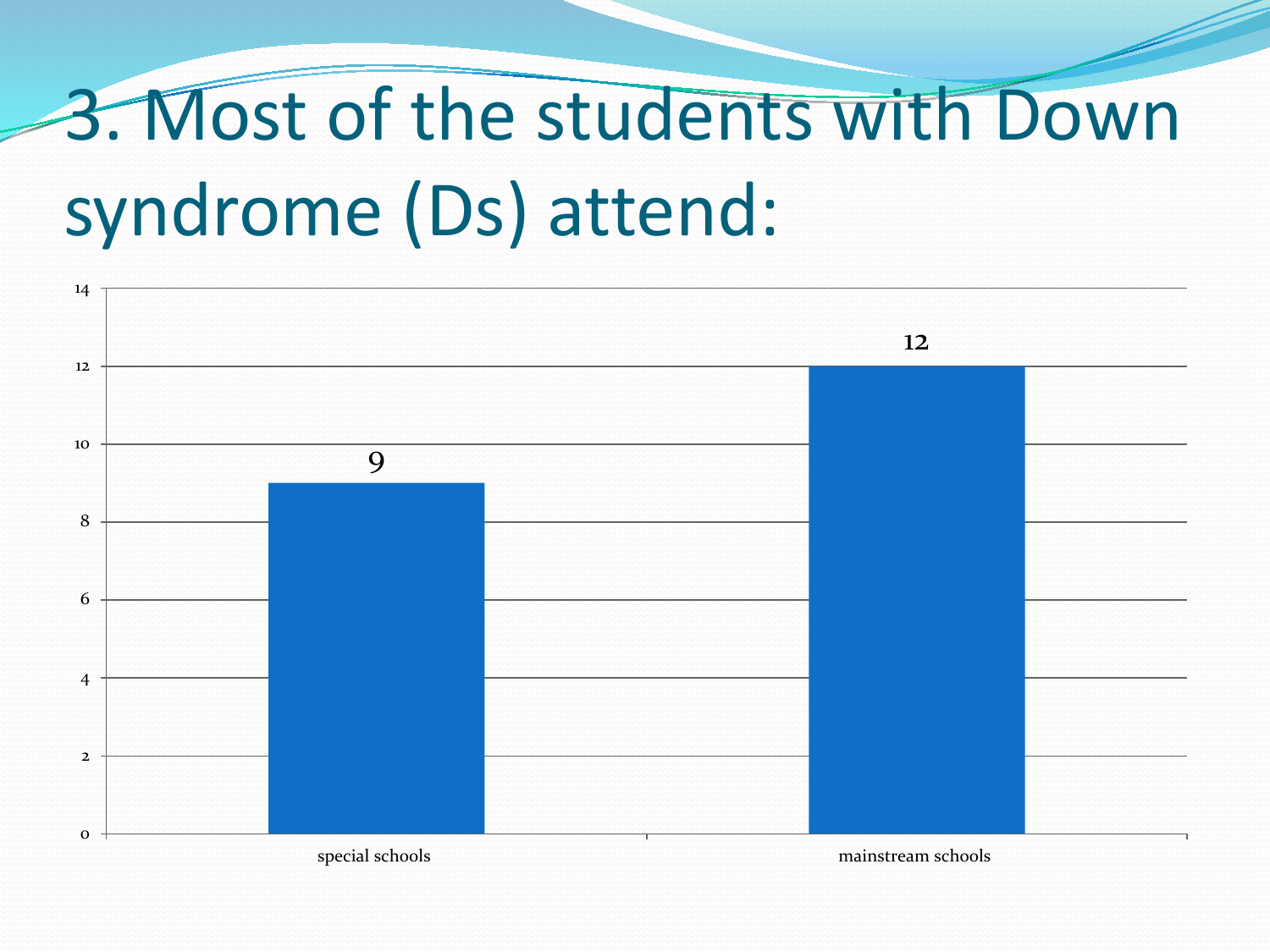# 3. Most of the students with Down syndrome (Ds) attend:

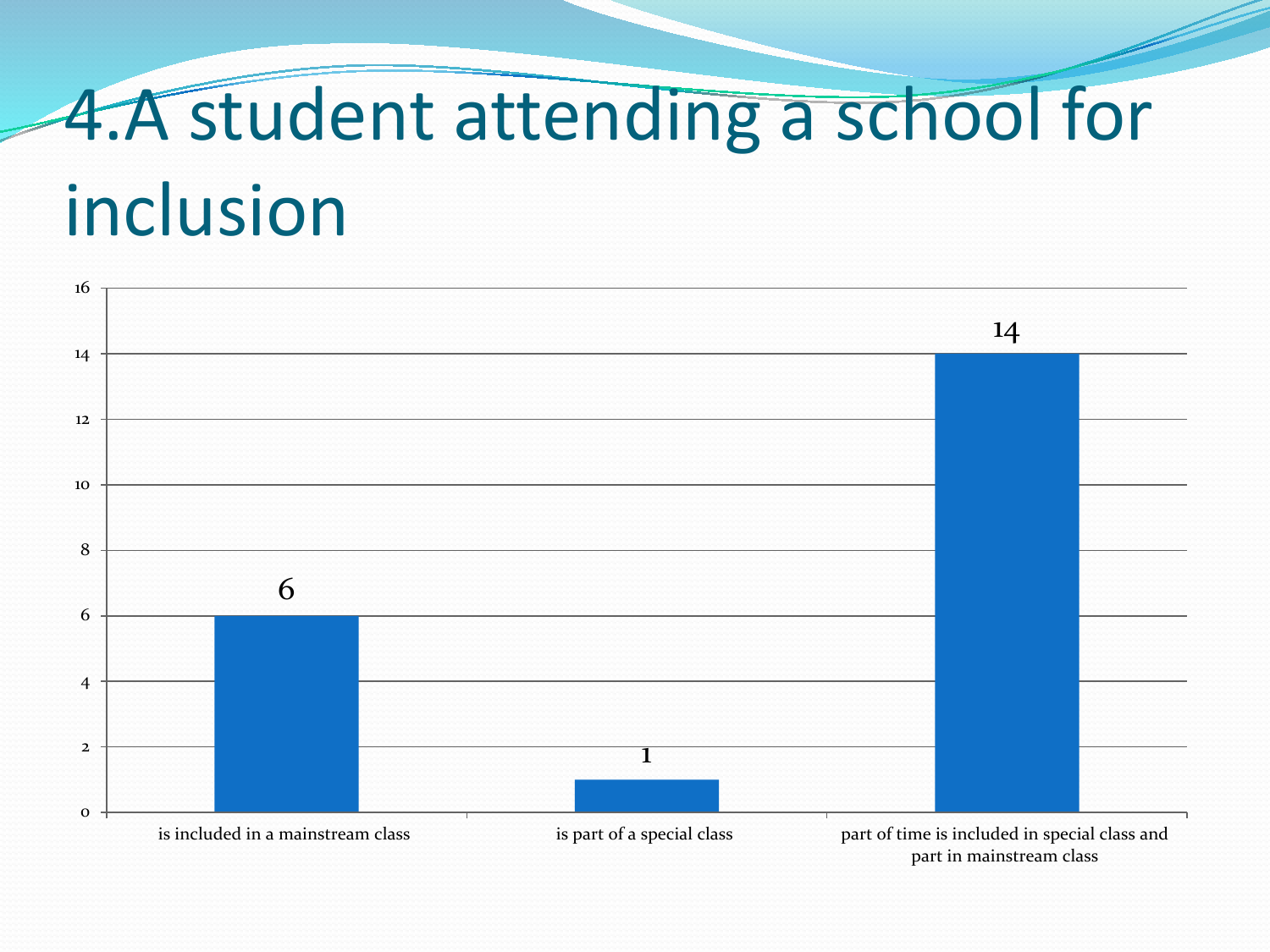# 4.A student attending a school for inclusion

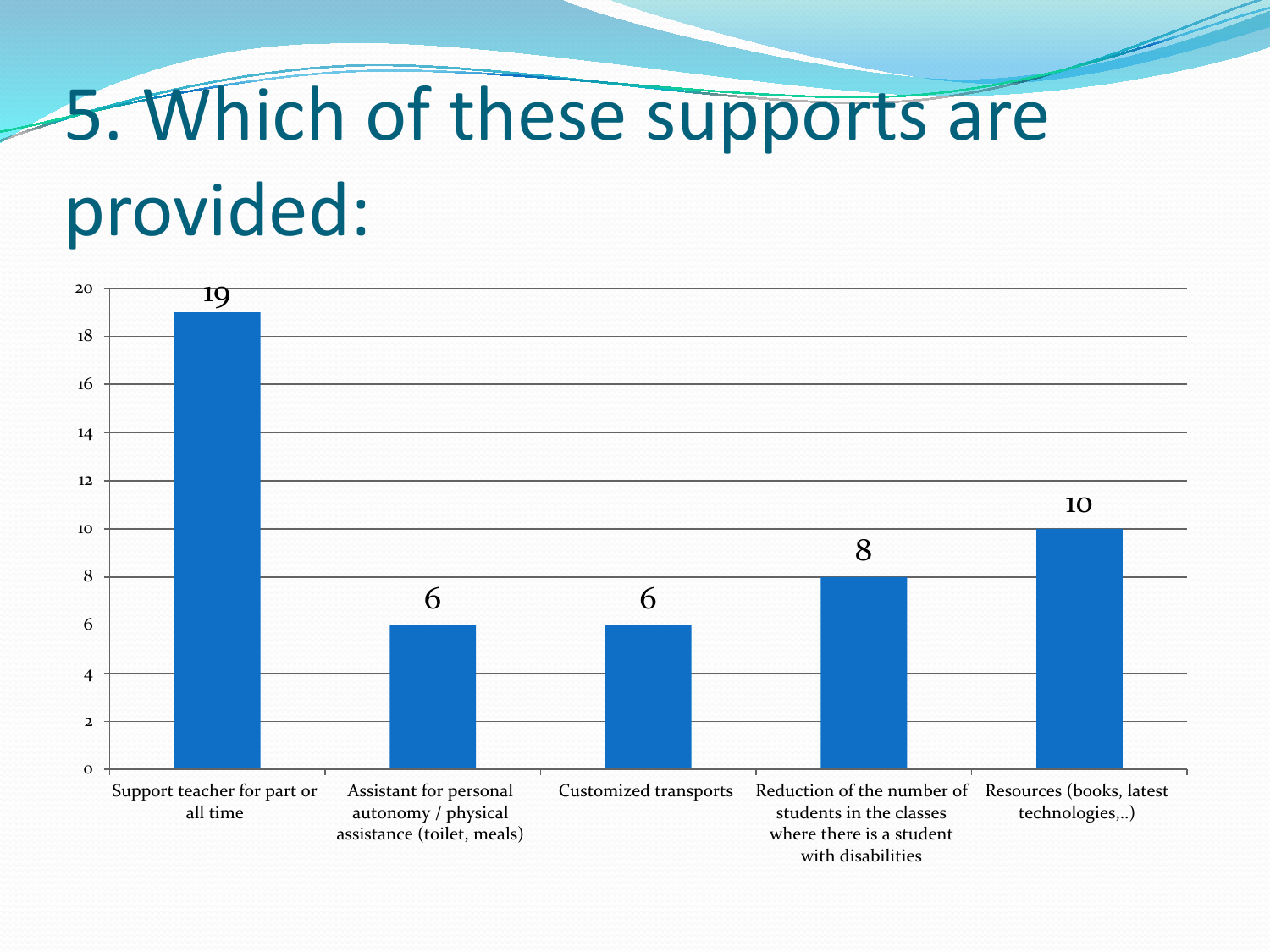# 5. Which of these supports are provided:

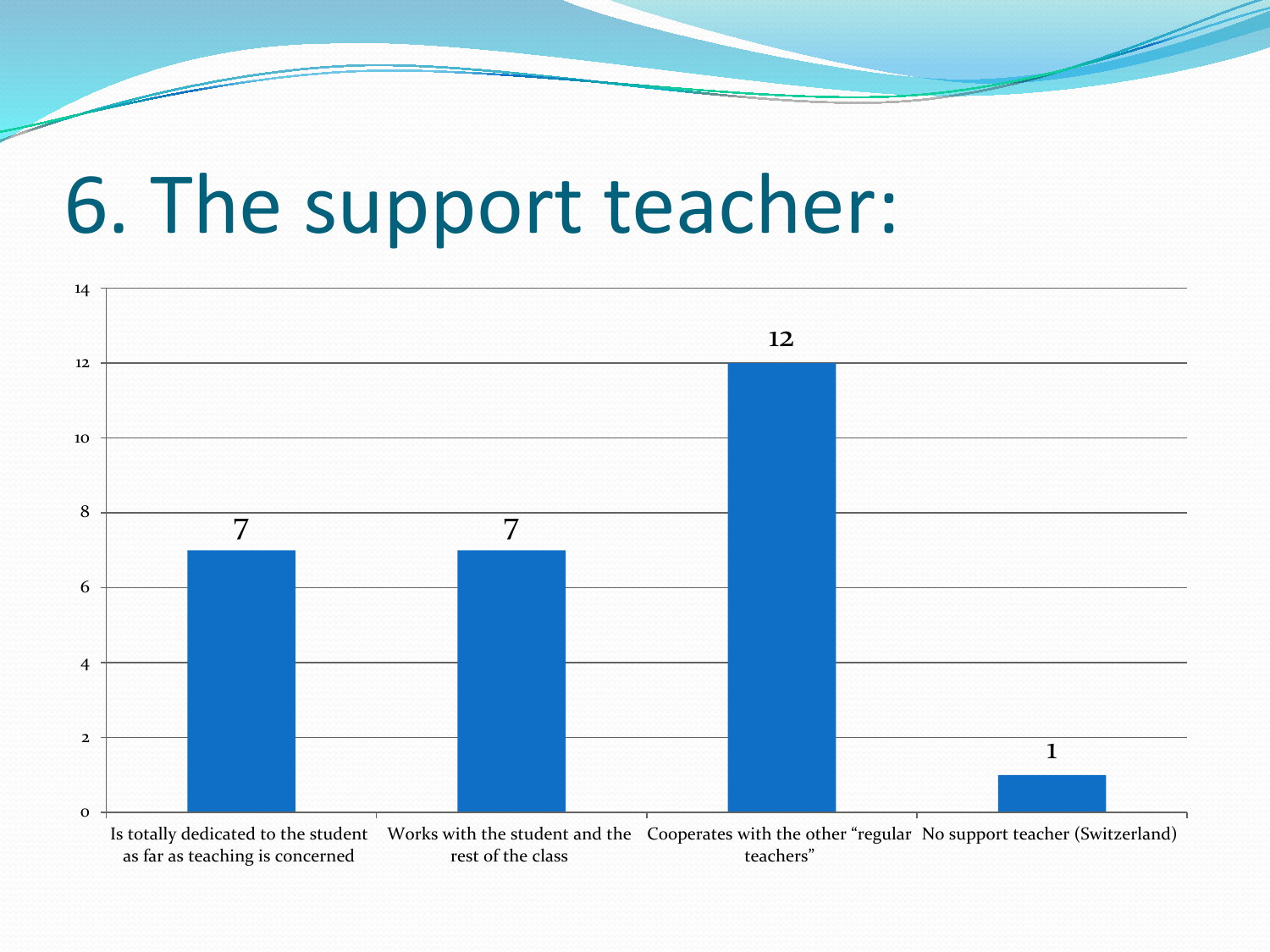### 6. The support teacher:

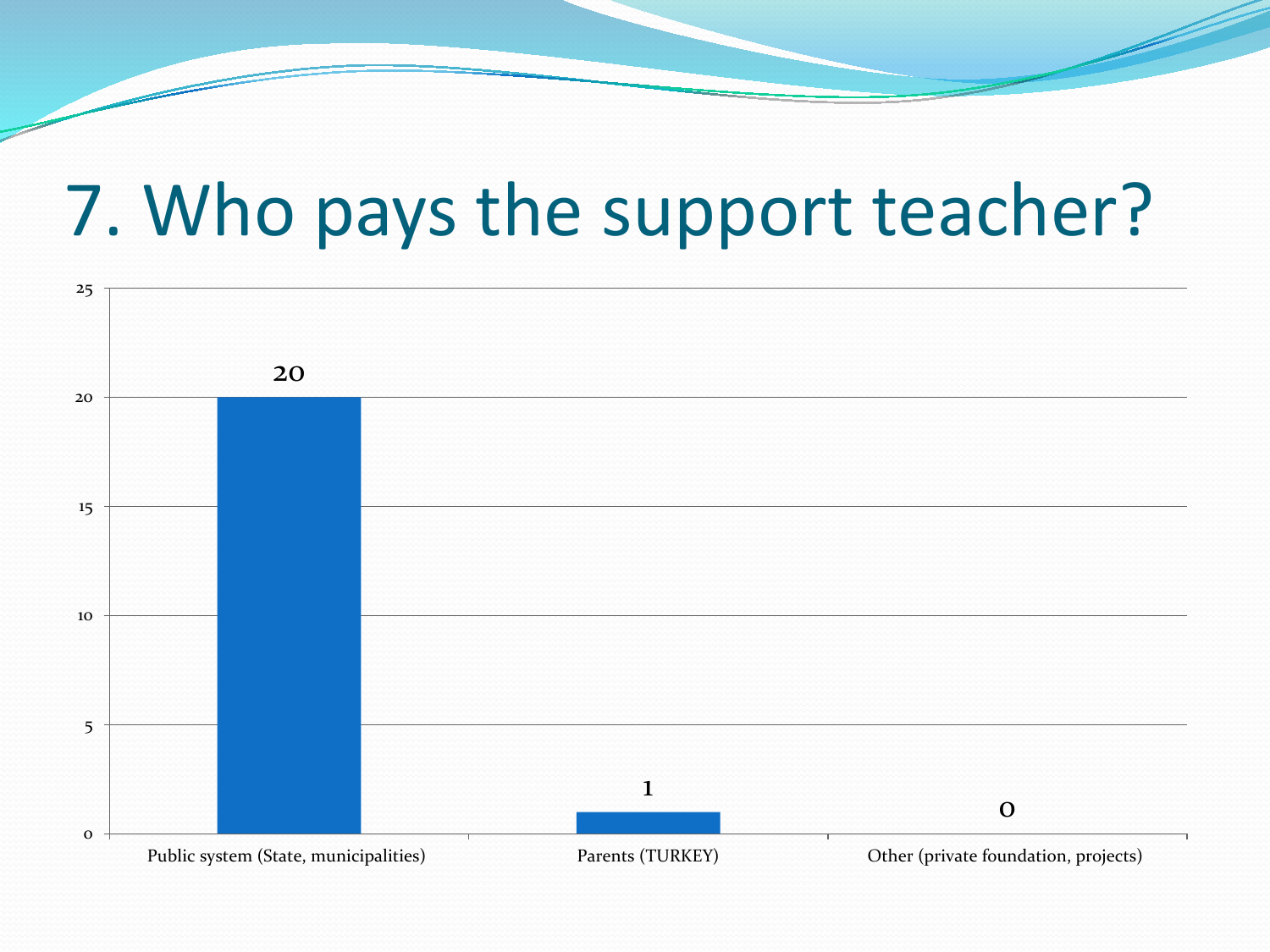#### 7. Who pays the support teacher?

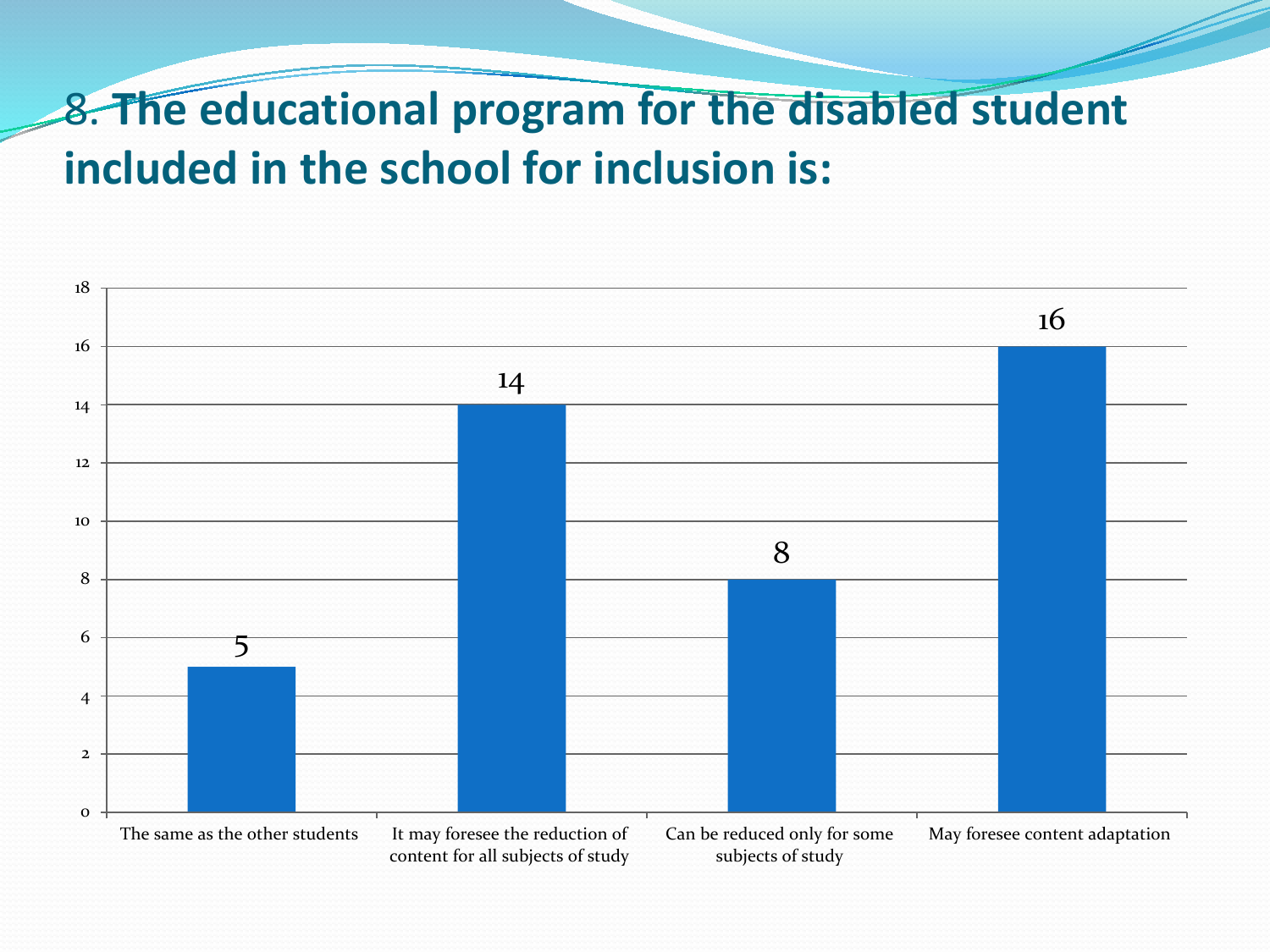#### 8. **The educational program for the disabled student included in the school for inclusion is:**

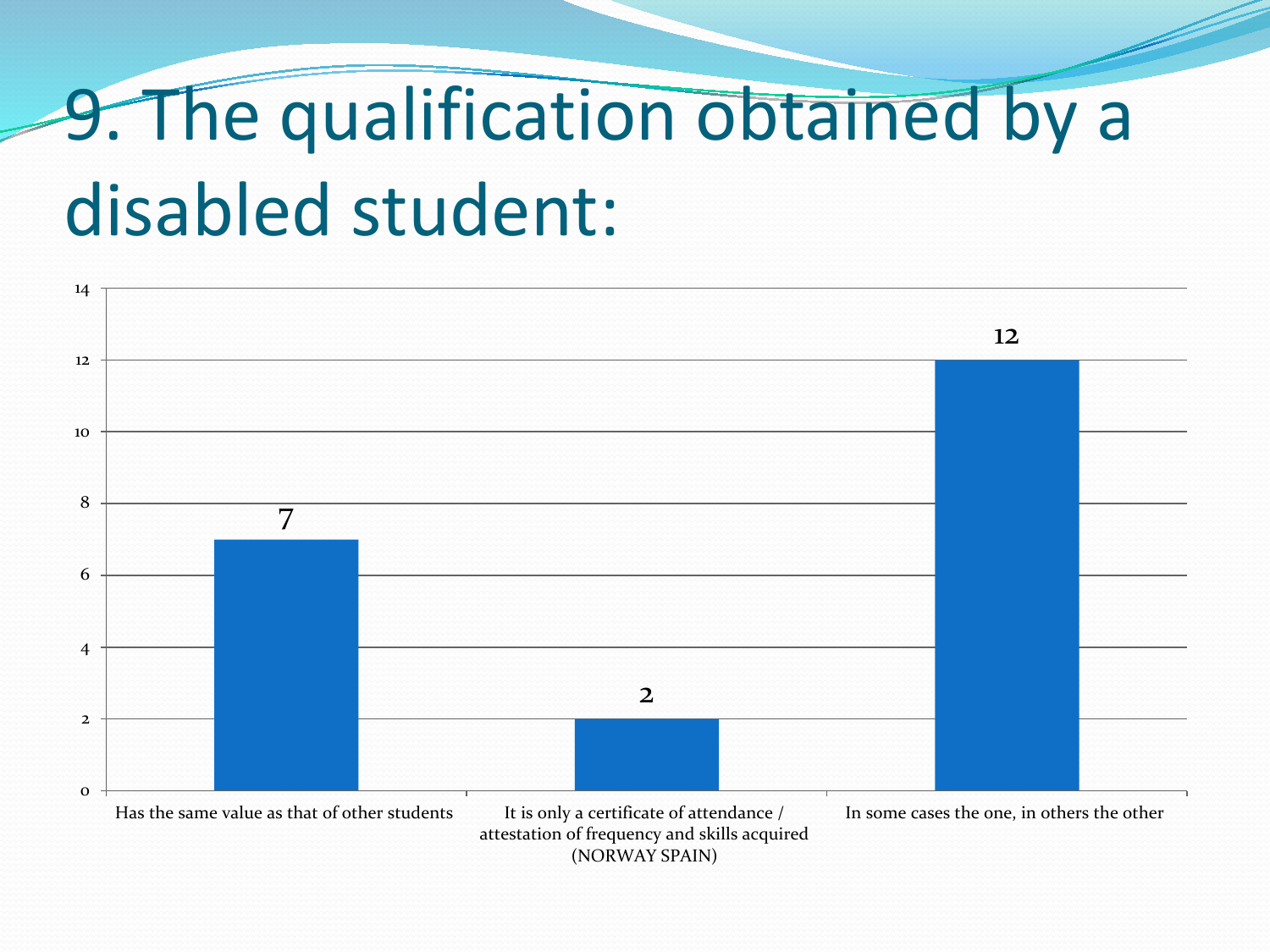# 9. The qualification obtained by a disabled student:

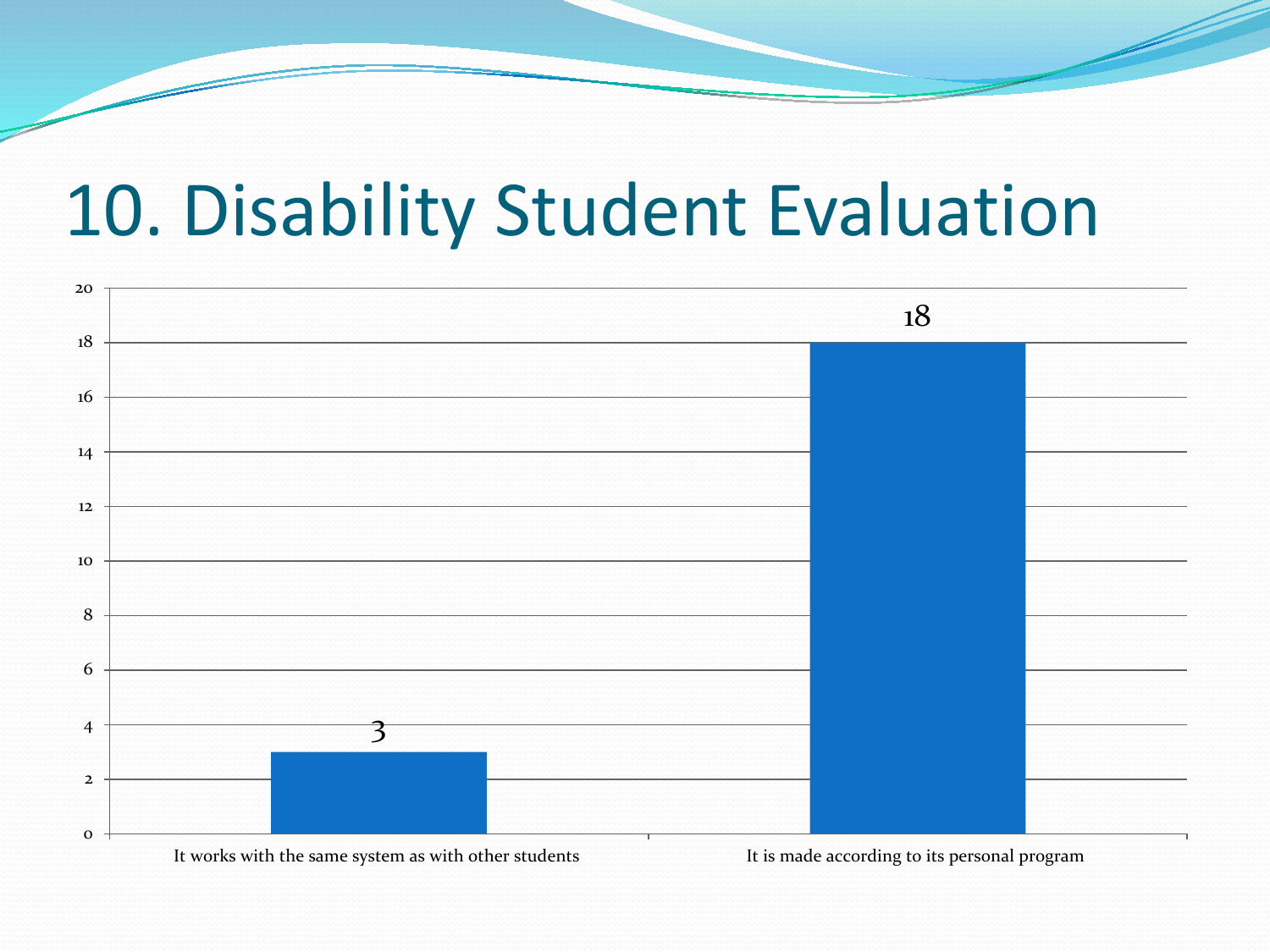#### 10. Disability Student Evaluation

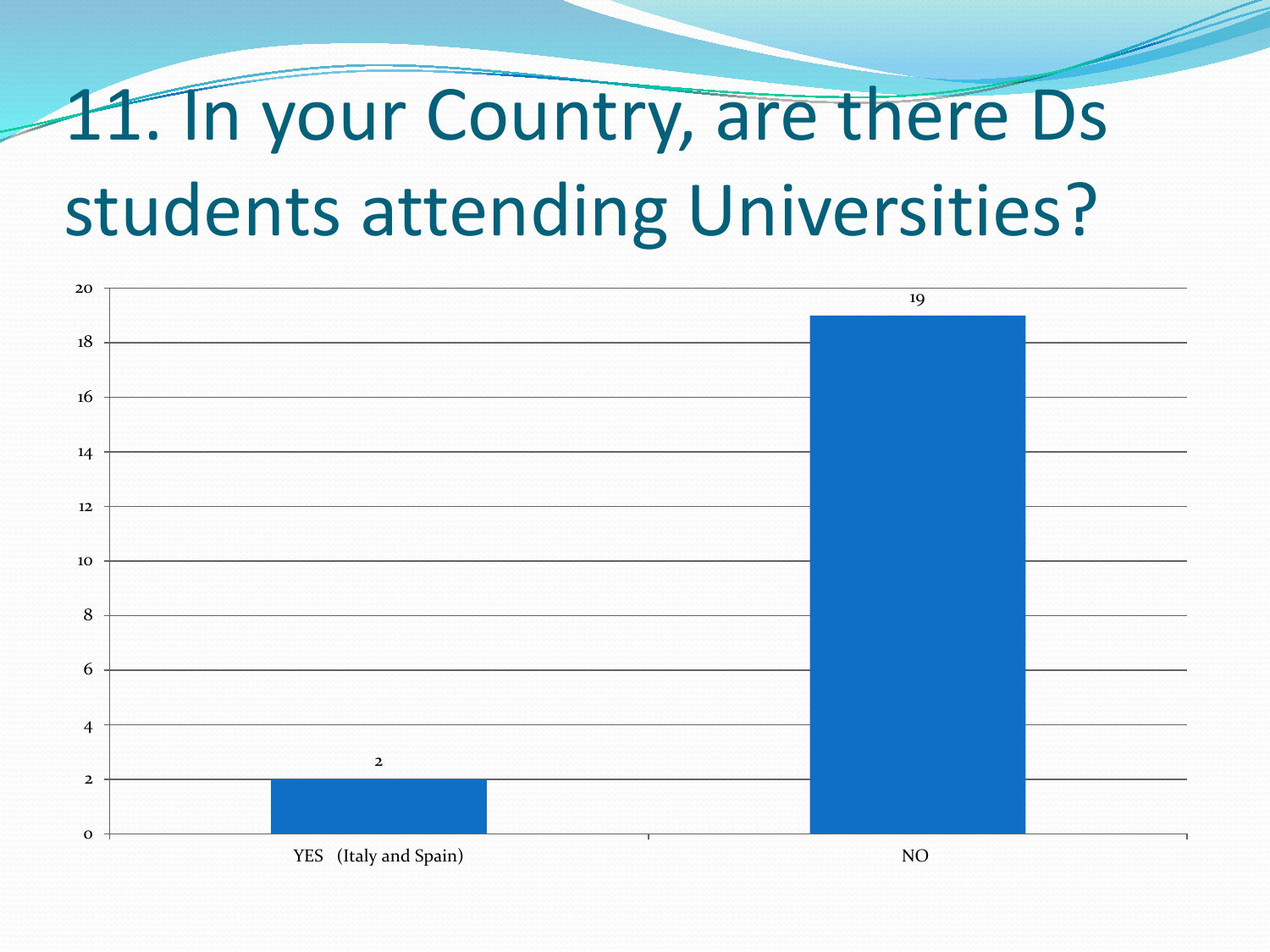# 11. In your Country, are there Ds students attending Universities?

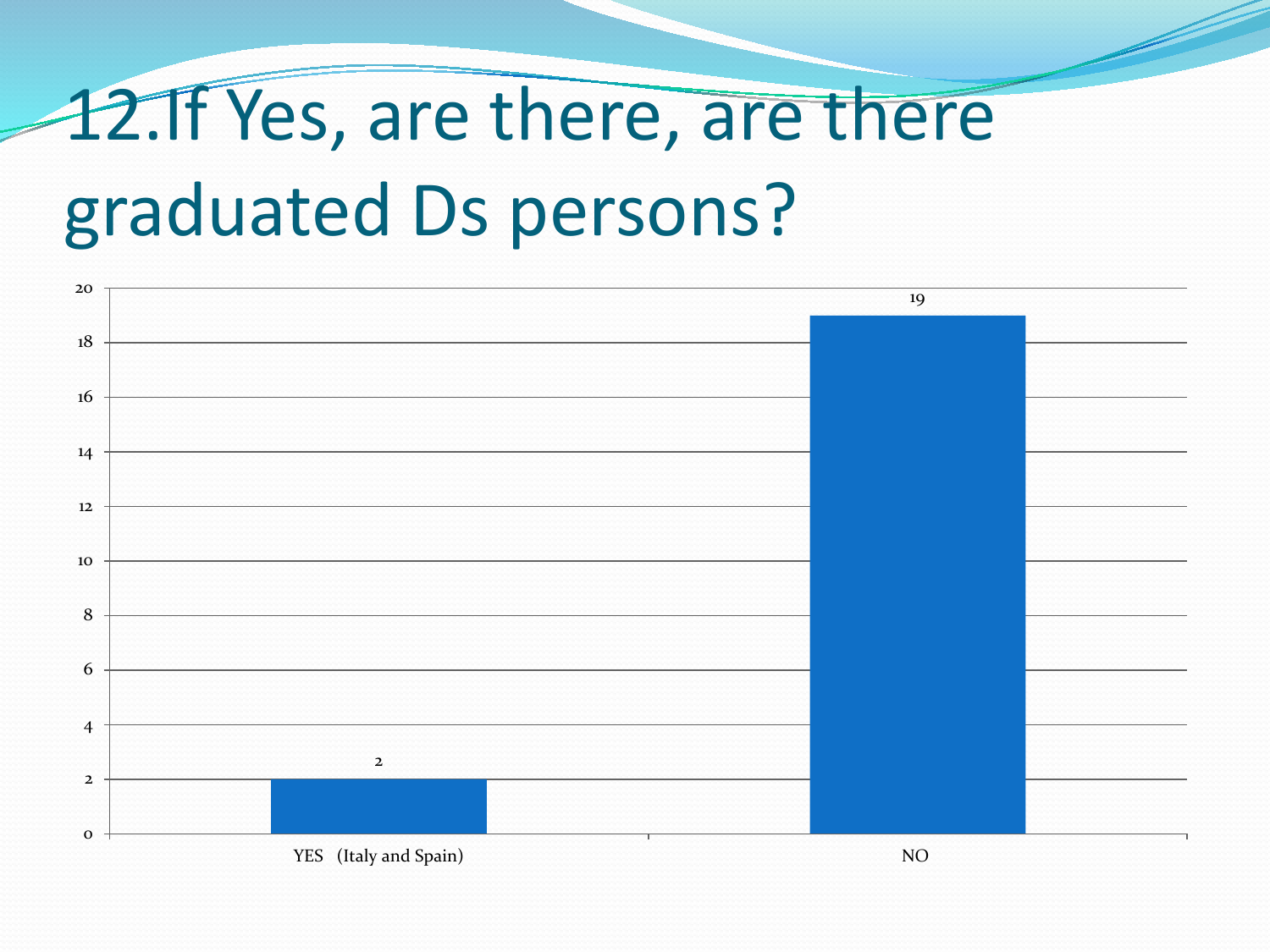# 12.If Yes, are there, are there graduated Ds persons?